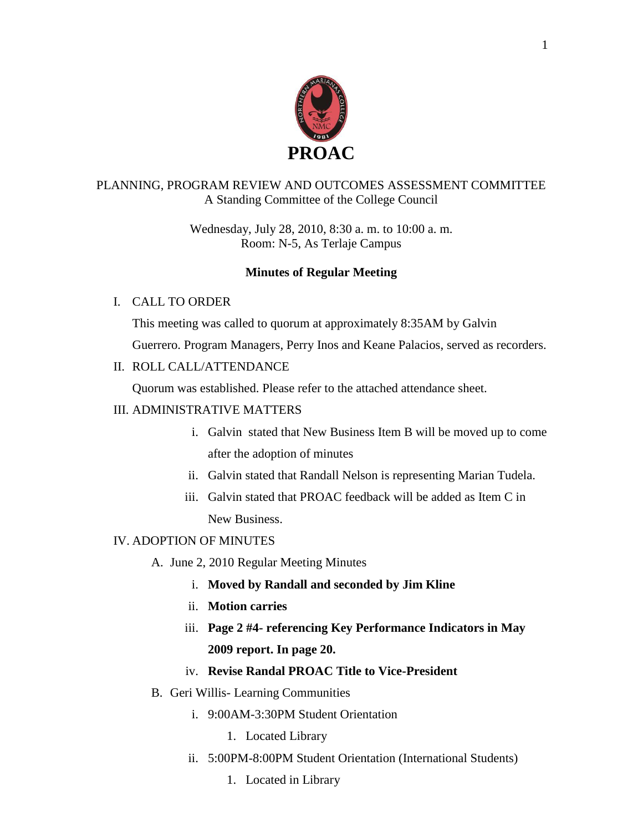

### PLANNING, PROGRAM REVIEW AND OUTCOMES ASSESSMENT COMMITTEE A Standing Committee of the College Council

Wednesday, July 28, 2010, 8:30 a. m. to 10:00 a. m. Room: N-5, As Terlaje Campus

## **Minutes of Regular Meeting**

### I. CALL TO ORDER

This meeting was called to quorum at approximately 8:35AM by Galvin

Guerrero. Program Managers, Perry Inos and Keane Palacios, served as recorders.

# II. ROLL CALL/ATTENDANCE

Quorum was established. Please refer to the attached attendance sheet.

### III. ADMINISTRATIVE MATTERS

- i. Galvin stated that New Business Item B will be moved up to come after the adoption of minutes
- ii. Galvin stated that Randall Nelson is representing Marian Tudela.
- iii. Galvin stated that PROAC feedback will be added as Item C in New Business.

### IV. ADOPTION OF MINUTES

- A. June 2, 2010 Regular Meeting Minutes
	- i. **Moved by Randall and seconded by Jim Kline**
	- ii. **Motion carries**
	- iii. **Page 2 #4- referencing Key Performance Indicators in May 2009 report. In page 20.**

## iv. **Revise Randal PROAC Title to Vice-President**

- B. Geri Willis- Learning Communities
	- i. 9:00AM-3:30PM Student Orientation
		- 1. Located Library
	- ii. 5:00PM-8:00PM Student Orientation (International Students)
		- 1. Located in Library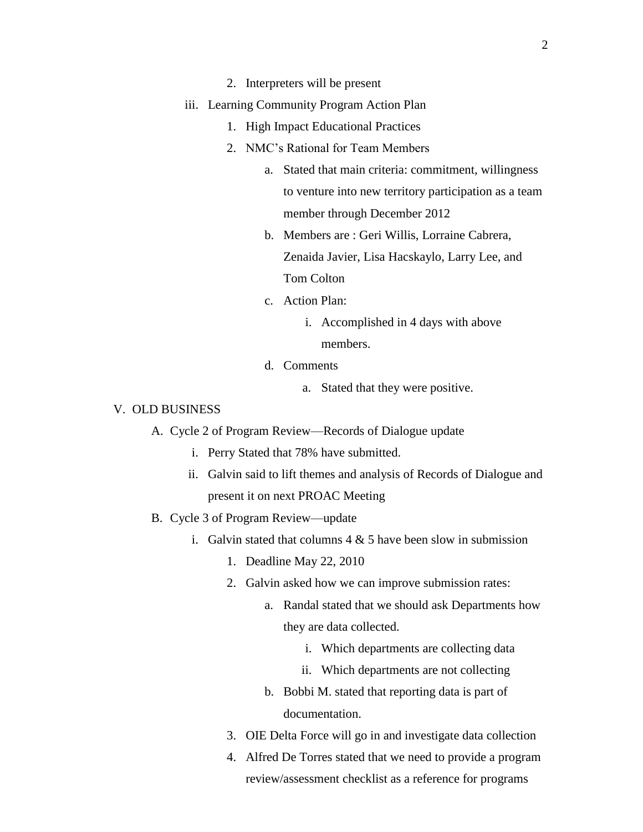- 2. Interpreters will be present
- iii. Learning Community Program Action Plan
	- 1. High Impact Educational Practices
	- 2. NMC's Rational for Team Members
		- a. Stated that main criteria: commitment, willingness to venture into new territory participation as a team member through December 2012
		- b. Members are : Geri Willis, Lorraine Cabrera, Zenaida Javier, Lisa Hacskaylo, Larry Lee, and Tom Colton
		- c. Action Plan:
			- i. Accomplished in 4 days with above members.
		- d. Comments
			- a. Stated that they were positive.

### V. OLD BUSINESS

- A. Cycle 2 of Program Review—Records of Dialogue update
	- i. Perry Stated that 78% have submitted.
	- ii. Galvin said to lift themes and analysis of Records of Dialogue and present it on next PROAC Meeting
- B. Cycle 3 of Program Review—update
	- i. Galvin stated that columns  $4 \& 5$  have been slow in submission
		- 1. Deadline May 22, 2010
		- 2. Galvin asked how we can improve submission rates:
			- a. Randal stated that we should ask Departments how they are data collected.
				- i. Which departments are collecting data
				- ii. Which departments are not collecting
			- b. Bobbi M. stated that reporting data is part of documentation.
		- 3. OIE Delta Force will go in and investigate data collection
		- 4. Alfred De Torres stated that we need to provide a program review/assessment checklist as a reference for programs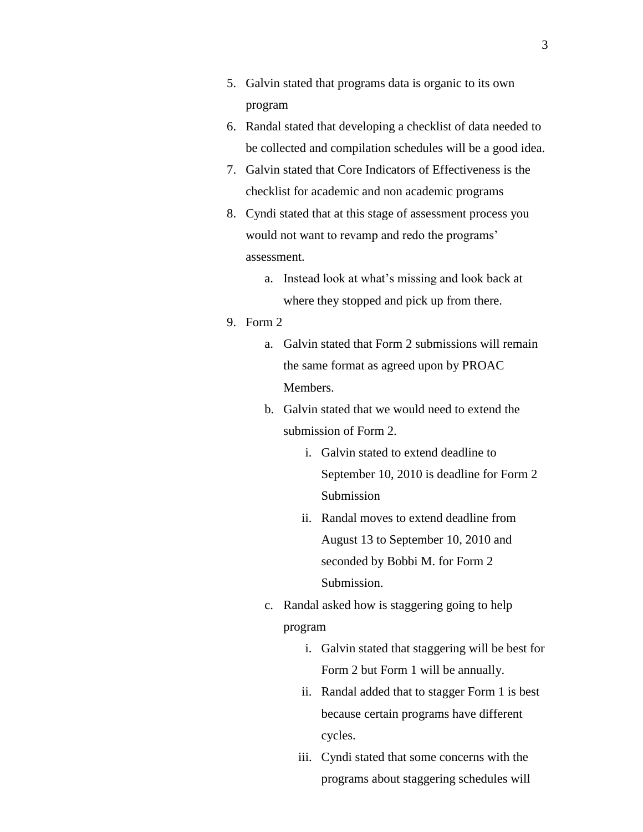- 5. Galvin stated that programs data is organic to its own program
- 6. Randal stated that developing a checklist of data needed to be collected and compilation schedules will be a good idea.
- 7. Galvin stated that Core Indicators of Effectiveness is the checklist for academic and non academic programs
- 8. Cyndi stated that at this stage of assessment process you would not want to revamp and redo the programs' assessment.
	- a. Instead look at what's missing and look back at where they stopped and pick up from there.
- 9. Form 2
	- a. Galvin stated that Form 2 submissions will remain the same format as agreed upon by PROAC Members.
	- b. Galvin stated that we would need to extend the submission of Form 2.
		- i. Galvin stated to extend deadline to September 10, 2010 is deadline for Form 2 Submission
		- ii. Randal moves to extend deadline from August 13 to September 10, 2010 and seconded by Bobbi M. for Form 2 Submission.
	- c. Randal asked how is staggering going to help program
		- i. Galvin stated that staggering will be best for Form 2 but Form 1 will be annually.
		- ii. Randal added that to stagger Form 1 is best because certain programs have different cycles.
		- iii. Cyndi stated that some concerns with the programs about staggering schedules will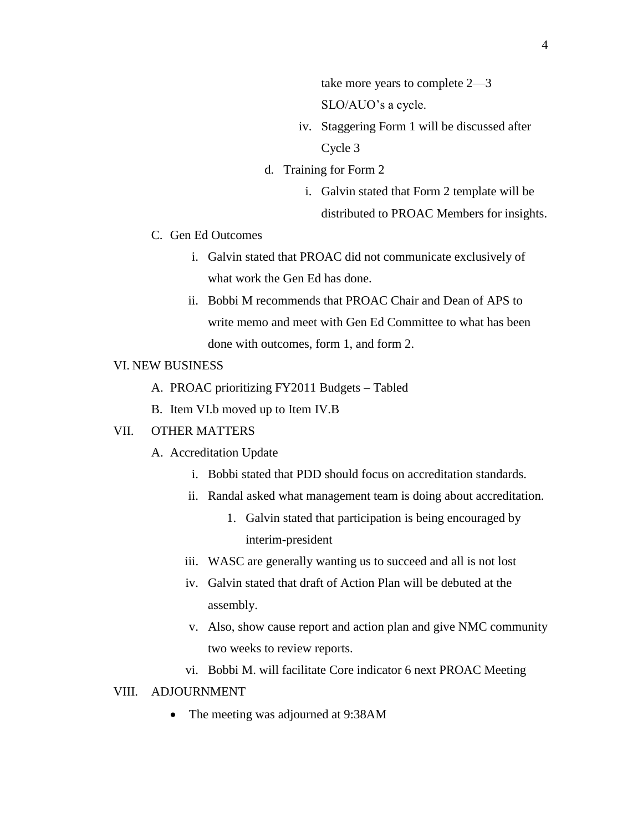take more years to complete 2—3 SLO/AUO's a cycle.

- iv. Staggering Form 1 will be discussed after Cycle 3
- d. Training for Form 2
	- i. Galvin stated that Form 2 template will be distributed to PROAC Members for insights.
- C. Gen Ed Outcomes
	- i. Galvin stated that PROAC did not communicate exclusively of what work the Gen Ed has done.
	- ii. Bobbi M recommends that PROAC Chair and Dean of APS to write memo and meet with Gen Ed Committee to what has been done with outcomes, form 1, and form 2.

### VI. NEW BUSINESS

- A. PROAC prioritizing FY2011 Budgets Tabled
- B. Item VI.b moved up to Item IV.B

#### VII. OTHER MATTERS

- A. Accreditation Update
	- i. Bobbi stated that PDD should focus on accreditation standards.
	- ii. Randal asked what management team is doing about accreditation.
		- 1. Galvin stated that participation is being encouraged by interim-president
	- iii. WASC are generally wanting us to succeed and all is not lost
	- iv. Galvin stated that draft of Action Plan will be debuted at the assembly.
	- v. Also, show cause report and action plan and give NMC community two weeks to review reports.
	- vi. Bobbi M. will facilitate Core indicator 6 next PROAC Meeting

### VIII. ADJOURNMENT

• The meeting was adjourned at 9:38AM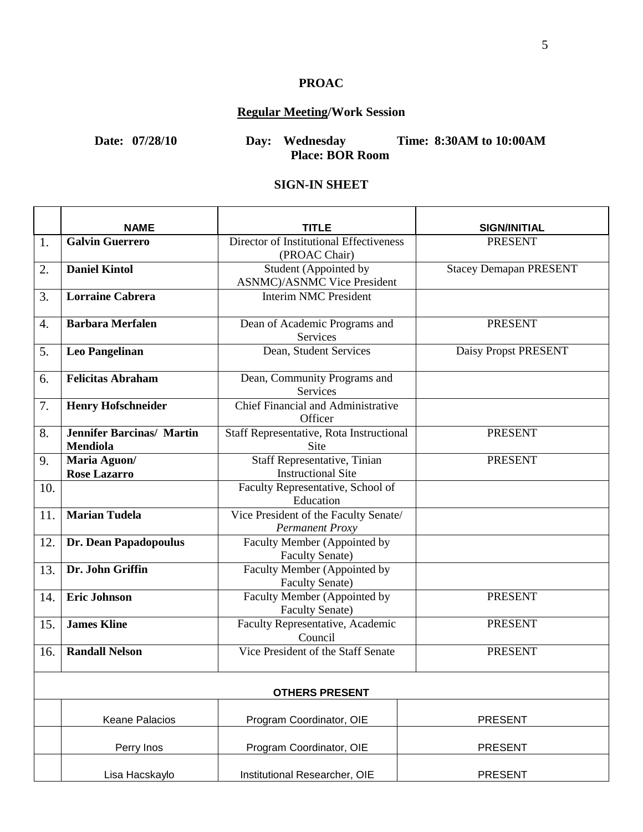# **PROAC**

# **Regular Meeting/Work Session**

**Date: 07/28/10 Day: Wednesday Time: 8:30AM to 10:00AM Place: BOR Room**

#### **SIGN-IN SHEET**

|                       | <b>NAME</b>                                         | TITLE                                                        | <b>SIGN/INITIAL</b>           |  |
|-----------------------|-----------------------------------------------------|--------------------------------------------------------------|-------------------------------|--|
| 1.                    | <b>Galvin Guerrero</b>                              | Director of Institutional Effectiveness<br>(PROAC Chair)     | <b>PRESENT</b>                |  |
| 2.                    | <b>Daniel Kintol</b>                                | Student (Appointed by<br><b>ASNMC</b> )/ASNMC Vice President | <b>Stacey Demapan PRESENT</b> |  |
| 3.                    | Lorraine Cabrera                                    | <b>Interim NMC President</b>                                 |                               |  |
| 4.                    | <b>Barbara Merfalen</b>                             | Dean of Academic Programs and<br>Services                    | <b>PRESENT</b>                |  |
| 5.                    | Leo Pangelinan                                      | Dean, Student Services                                       | <b>Daisy Propst PRESENT</b>   |  |
| 6.                    | <b>Felicitas Abraham</b>                            | Dean, Community Programs and<br>Services                     |                               |  |
| 7.                    | <b>Henry Hofschneider</b>                           | Chief Financial and Administrative<br>Officer                |                               |  |
| 8.                    | <b>Jennifer Barcinas/ Martin</b><br><b>Mendiola</b> | Staff Representative, Rota Instructional<br><b>Site</b>      | <b>PRESENT</b>                |  |
| 9.                    | Maria Aguon/<br><b>Rose Lazarro</b>                 | Staff Representative, Tinian<br><b>Instructional Site</b>    | <b>PRESENT</b>                |  |
| 10.                   |                                                     | Faculty Representative, School of<br>Education               |                               |  |
| 11.                   | <b>Marian Tudela</b>                                | Vice President of the Faculty Senate/<br>Permanent Proxy     |                               |  |
| 12.                   | Dr. Dean Papadopoulus                               | Faculty Member (Appointed by<br><b>Faculty Senate)</b>       |                               |  |
| 13.                   | Dr. John Griffin                                    | Faculty Member (Appointed by<br><b>Faculty Senate)</b>       |                               |  |
| 14.                   | <b>Eric Johnson</b>                                 | Faculty Member (Appointed by<br><b>Faculty Senate)</b>       | <b>PRESENT</b>                |  |
| 15.                   | <b>James Kline</b>                                  | Faculty Representative, Academic<br>Council                  | <b>PRESENT</b>                |  |
| 16.                   | <b>Randall Nelson</b>                               | Vice President of the Staff Senate                           | <b>PRESENT</b>                |  |
| <b>OTHERS PRESENT</b> |                                                     |                                                              |                               |  |
|                       | <b>Keane Palacios</b>                               | Program Coordinator, OIE                                     | <b>PRESENT</b>                |  |
|                       | Perry Inos                                          | Program Coordinator, OIE                                     | <b>PRESENT</b>                |  |
|                       | Lisa Hacskaylo                                      | Institutional Researcher, OIE                                | <b>PRESENT</b>                |  |